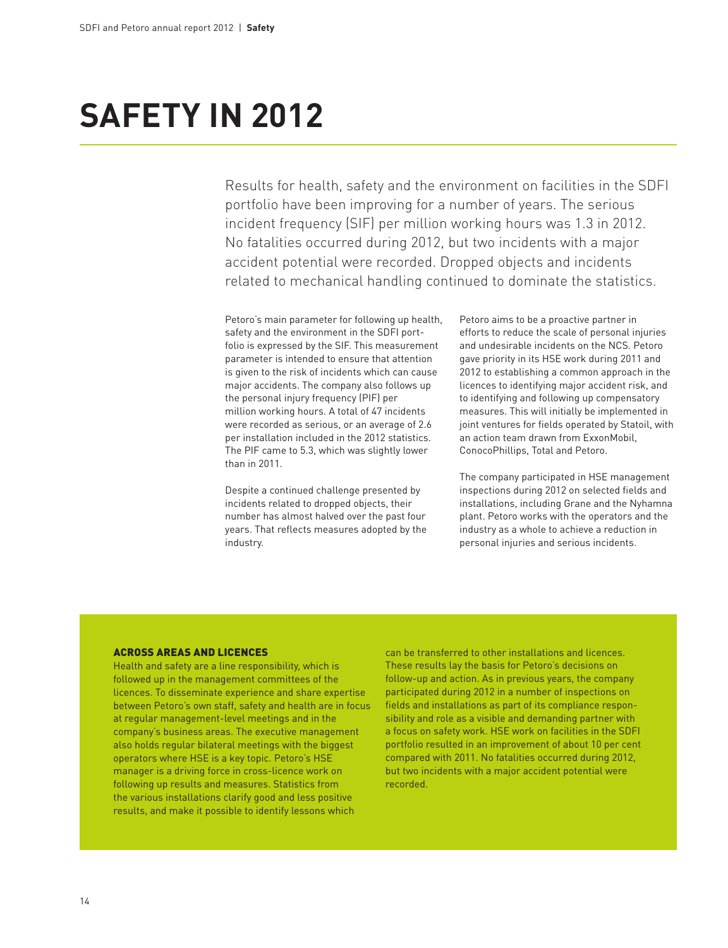## **Safety in 2012**

Results for health, safety and the environment on facilities in the SDFI portfolio have been improving for a number of years. The serious incident frequency (SIF) per million working hours was 1.3 in 2012. No fatalities occurred during 2012, but two incidents with a major accident potential were recorded. Dropped objects and incidents related to mechanical handling continued to dominate the statistics.

Petoro's main parameter for following up health, safety and the environment in the SDFI portfolio is expressed by the SIF. This measurement parameter is intended to ensure that attention is given to the risk of incidents which can cause major accidents. The company also follows up the personal injury frequency (PIF) per million working hours. A total of 47 incidents were recorded as serious, or an average of 2.6 per installation included in the 2012 statistics. The PIF came to 5.3, which was slightly lower than in 2011.

Despite a continued challenge presented by incidents related to dropped objects, their number has almost halved over the past four years. That reflects measures adopted by the industry.

Petoro aims to be a proactive partner in efforts to reduce the scale of personal injuries and undesirable incidents on the NCS. Petoro gave priority in its HSE work during 2011 and 2012 to establishing a common approach in the licences to identifying major accident risk, and to identifying and following up compensatory measures. This will initially be implemented in joint ventures for fields operated by Statoil, with an action team drawn from ExxonMobil, ConocoPhillips, Total and Petoro.

The company participated in HSE management inspections during 2012 on selected fields and installations, including Grane and the Nyhamna plant. Petoro works with the operators and the industry as a whole to achieve a reduction in personal injuries and serious incidents.

## Across areas and licences

Health and safety are a line responsibility, which is followed up in the management committees of the licences. To disseminate experience and share expertise between Petoro's own staff, safety and health are in focus at regular management-level meetings and in the company's business areas. The executive management also holds regular bilateral meetings with the biggest operators where HSE is a key topic. Petoro's HSE manager is a driving force in cross-licence work on following up results and measures. Statistics from the various installations clarify good and less positive results, and make it possible to identify lessons which

can be transferred to other installations and licences. These results lay the basis for Petoro's decisions on follow-up and action. As in previous years, the company participated during 2012 in a number of inspections on fields and installations as part of its compliance responsibility and role as a visible and demanding partner with a focus on safety work. HSE work on facilities in the SDFI portfolio resulted in an improvement of about 10 per cent compared with 2011. No fatalities occurred during 2012, but two incidents with a major accident potential were recorded.